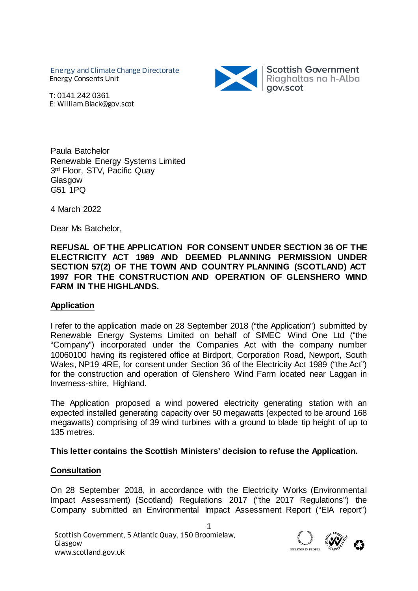Energy and Climate Change Directorate Energy Consents Unit



T: 0141 242 0361 E: William.Black@gov.scot

Paula Batchelor Renewable Energy Systems Limited 3rd Floor, STV, Pacific Quay **Glasgow** G51 1PQ

4 March 2022

Dear Ms Batchelor,

**REFUSAL OF THE APPLICATION FOR CONSENT UNDER SECTION 36 OF THE ELECTRICITY ACT 1989 AND DEEMED PLANNING PERMISSION UNDER SECTION 57(2) OF THE TOWN AND COUNTRY PLANNING (SCOTLAND) ACT 1997 FOR THE CONSTRUCTION AND OPERATION OF GLENSHERO WIND FARM IN THE HIGHLANDS.**

#### **Application**

I refer to the application made on 28 September 2018 ("the Application") submitted by Renewable Energy Systems Limited on behalf of SIMEC Wind One Ltd ("the "Company") incorporated under the Companies Act with the company number 10060100 having its registered office at Birdport, Corporation Road, Newport, South Wales, NP19 4RE, for consent under Section 36 of the Electricity Act 1989 ("the Act") for the construction and operation of Glenshero Wind Farm located near Laggan in Inverness-shire, Highland.

The Application proposed a wind powered electricity generating station with an expected installed generating capacity over 50 megawatts (expected to be around 168 megawatts) comprising of 39 wind turbines with a ground to blade tip height of up to 135 metres.

#### **This letter contains the Scottish Ministers' decision to refuse the Application.**

#### **Consultation**

On 28 September 2018, in accordance with the Electricity Works (Environmental Impact Assessment) (Scotland) Regulations 2017 ("the 2017 Regulations") the Company submitted an Environmental Impact Assessment Report ("EIA report")

1

Scottish Government, 5 Atlantic Quay, 150 Broomielaw,<br>
Www.scotland.gov.uk<br>
WWW.scotland.gov.uk Glasgow

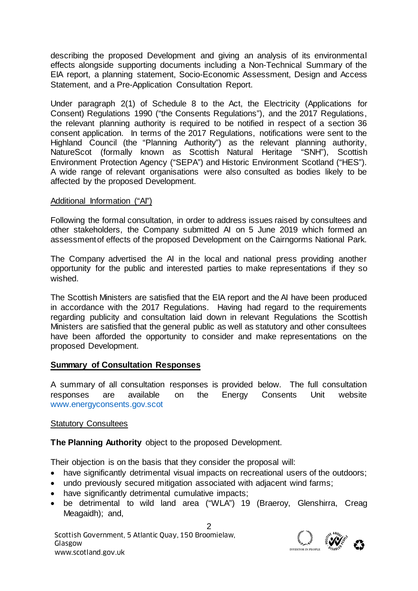describing the proposed Development and giving an analysis of its environmental effects alongside supporting documents including a Non-Technical Summary of the EIA report, a planning statement, Socio-Economic Assessment, Design and Access Statement, and a Pre-Application Consultation Report.

Under paragraph 2(1) of Schedule 8 to the Act, the Electricity (Applications for Consent) Regulations 1990 ("the Consents Regulations"), and the 2017 Regulations, the relevant planning authority is required to be notified in respect of a section 36 consent application. In terms of the 2017 Regulations, notifications were sent to the Highland Council (the "Planning Authority") as the relevant planning authority, NatureScot (formally known as Scottish Natural Heritage "SNH"), Scottish Environment Protection Agency ("SEPA") and Historic Environment Scotland ("HES"). A wide range of relevant organisations were also consulted as bodies likely to be affected by the proposed Development.

### Additional Information ("AI")

Following the formal consultation, in order to address issues raised by consultees and other stakeholders, the Company submitted AI on 5 June 2019 which formed an assessment of effects of the proposed Development on the Cairngorms National Park.

The Company advertised the AI in the local and national press providing another opportunity for the public and interested parties to make representations if they so wished.

The Scottish Ministers are satisfied that the EIA report and the AI have been produced in accordance with the 2017 Regulations. Having had regard to the requirements regarding publicity and consultation laid down in relevant Regulations the Scottish Ministers are satisfied that the general public as well as statutory and other consultees have been afforded the opportunity to consider and make representations on the proposed Development.

### **Summary of Consultation Responses**

A summary of all consultation responses is provided below. The full consultation responses are available on the Energy Consents Unit website [www.energyconsents.gov.scot](http://www.energyconsents.gov.scot/)

#### Statutory Consultees

**The Planning Authority** object to the proposed Development.

Their objection is on the basis that they consider the proposal will:

- have significantly detrimental visual impacts on recreational users of the outdoors;
- undo previously secured mitigation associated with adjacent wind farms;
- have significantly detrimental cumulative impacts;
- be detrimental to wild land area ("WLA") 19 (Braeroy, Glenshirra, Creag Meagaidh); and,

2

Scottish Government, 5 Atlantic Quay, 150 Broomielaw,<br>
Www.scotland.gov.uk<br>
WWW.scotland.gov.uk Glasgow

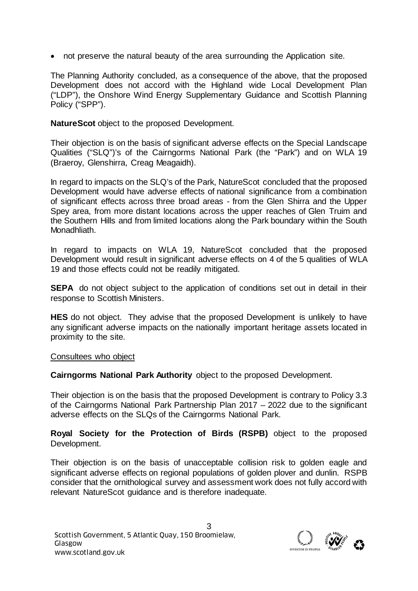• not preserve the natural beauty of the area surrounding the Application site.

The Planning Authority concluded, as a consequence of the above, that the proposed Development does not accord with the Highland wide Local Development Plan ("LDP"), the Onshore Wind Energy Supplementary Guidance and Scottish Planning Policy ("SPP").

**NatureScot** object to the proposed Development.

Their objection is on the basis of significant adverse effects on the Special Landscape Qualities ("SLQ")'s of the Cairngorms National Park (the "Park") and on WLA 19 (Braeroy, Glenshirra, Creag Meagaidh).

In regard to impacts on the SLQ's of the Park, NatureScot concluded that the proposed Development would have adverse effects of national significance from a combination of significant effects across three broad areas - from the Glen Shirra and the Upper Spey area, from more distant locations across the upper reaches of Glen Truim and the Southern Hills and from limited locations along the Park boundary within the South Monadhliath.

In regard to impacts on WLA 19, NatureScot concluded that the proposed Development would result in significant adverse effects on 4 of the 5 qualities of WLA 19 and those effects could not be readily mitigated.

**SEPA** do not object subject to the application of conditions set out in detail in their response to Scottish Ministers.

**HES** do not object. They advise that the proposed Development is unlikely to have any significant adverse impacts on the nationally important heritage assets located in proximity to the site.

### Consultees who object

**Cairngorms National Park Authority** object to the proposed Development.

Their objection is on the basis that the proposed Development is contrary to Policy 3.3 of the Cairngorms National Park Partnership Plan 2017 – 2022 due to the significant adverse effects on the SLQs of the Cairngorms National Park.

**Royal Society for the Protection of Birds (RSPB)** object to the proposed Development.

Their objection is on the basis of unacceptable collision risk to golden eagle and significant adverse effects on regional populations of golden plover and dunlin. RSPB consider that the ornithological survey and assessment work does not fully accord with relevant NatureScot guidance and is therefore inadequate.

3

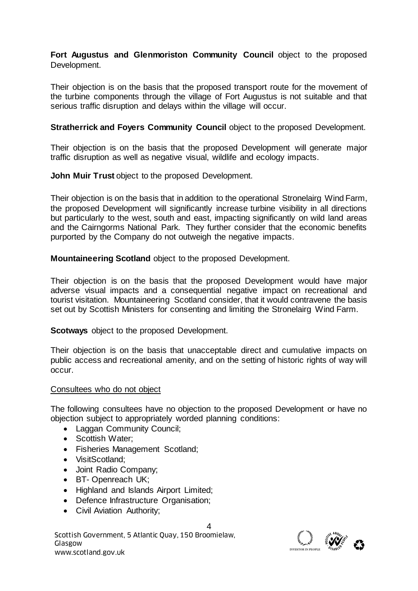**Fort Augustus and Glenmoriston Community Council** object to the proposed Development.

Their objection is on the basis that the proposed transport route for the movement of the turbine components through the village of Fort Augustus is not suitable and that serious traffic disruption and delays within the village will occur.

**Stratherrick and Foyers Community Council object to the proposed Development.** 

Their objection is on the basis that the proposed Development will generate major traffic disruption as well as negative visual, wildlife and ecology impacts.

**John Muir Trust** object to the proposed Development.

Their objection is on the basis that in addition to the operational Stronelairg Wind Farm, the proposed Development will significantly increase turbine visibility in all directions but particularly to the west, south and east, impacting significantly on wild land areas and the Cairngorms National Park. They further consider that the economic benefits purported by the Company do not outweigh the negative impacts.

**Mountaineering Scotland** object to the proposed Development.

Their objection is on the basis that the proposed Development would have major adverse visual impacts and a consequential negative impact on recreational and tourist visitation. Mountaineering Scotland consider, that it would contravene the basis set out by Scottish Ministers for consenting and limiting the Stronelairg Wind Farm.

**Scotways** object to the proposed Development.

Their objection is on the basis that unacceptable direct and cumulative impacts on public access and recreational amenity, and on the setting of historic rights of way will occur.

### Consultees who do not object

The following consultees have no objection to the proposed Development or have no objection subject to appropriately worded planning conditions:

- Laggan Community Council;
- Scottish Water;
- Fisheries Management Scotland;
- VisitScotland;
- Joint Radio Company;
- BT- Openreach UK;
- Highland and Islands Airport Limited;
- Defence Infrastructure Organisation;
- Civil Aviation Authority;

Scottish Government, 5 Atlantic Quay, 150 Broomielaw,<br>
Www.scotland.gov.uk<br>
WWW.scotland.gov.uk Glasgow



4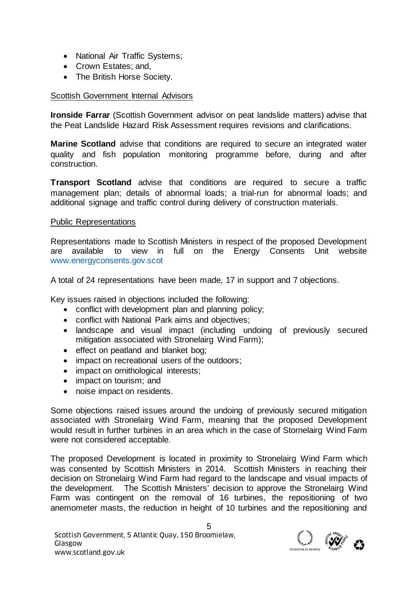- National Air Traffic Systems;
- Crown Estates: and.
- The British Horse Society.

# Scottish Government Internal Advisors

**Ironside Farrar** (Scottish Government advisor on peat landslide matters) advise that the Peat Landslide Hazard Risk Assessment requires revisions and clarifications.

**Marine Scotland** advise that conditions are required to secure an integrated water quality and fish population monitoring programme before, during and after construction.

**Transport Scotland** advise that conditions are required to secure a traffic management plan; details of abnormal loads; a trial-run for abnormal loads; and additional signage and traffic control during delivery of construction materials.

## Public Representations

Representations made to Scottish Ministers in respect of the proposed Development are available to view in full on the Energy Consents Unit website [www.energyconsents.gov.scot](http://www.energyconsents.gov.scot/)

A total of 24 representations have been made, 17 in support and 7 objections.

Key issues raised in objections included the following:

- conflict with development plan and planning policy;
- conflict with National Park aims and objectives;
- landscape and visual impact (including undoing of previously secured mitigation associated with Stronelairg Wind Farm);
- effect on peatland and blanket bog;
- impact on recreational users of the outdoors;
- impact on ornithological interests;
- impact on tourism; and
- noise impact on residents.

Some objections raised issues around the undoing of previously secured mitigation associated with Stronelairg Wind Farm, meaning that the proposed Development would result in further turbines in an area which in the case of Stornelairg Wind Farm were not considered acceptable.

The proposed Development is located in proximity to Stronelairg Wind Farm which was consented by Scottish Ministers in 2014. Scottish Ministers in reaching their decision on Stronelairg Wind Farm had regard to the landscape and visual impacts of the development. The Scottish Ministers' decision to approve the Stronelairg Wind Farm was contingent on the removal of 16 turbines, the repositioning of two anemometer masts, the reduction in height of 10 turbines and the repositioning and

5

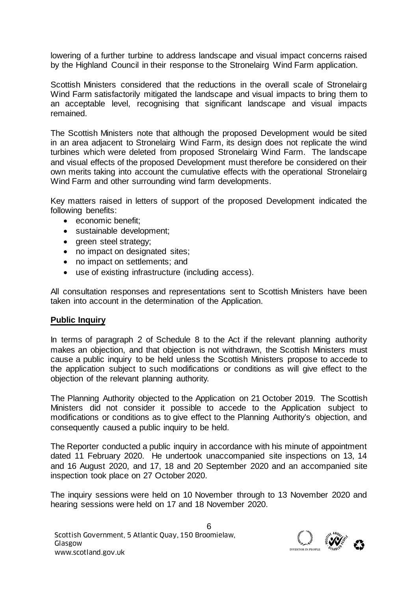lowering of a further turbine to address landscape and visual impact concerns raised by the Highland Council in their response to the Stronelairg Wind Farm application.

Scottish Ministers considered that the reductions in the overall scale of Stronelairg Wind Farm satisfactorily mitigated the landscape and visual impacts to bring them to an acceptable level, recognising that significant landscape and visual impacts remained.

The Scottish Ministers note that although the proposed Development would be sited in an area adjacent to Stronelairg Wind Farm, its design does not replicate the wind turbines which were deleted from proposed Stronelairg Wind Farm. The landscape and visual effects of the proposed Development must therefore be considered on their own merits taking into account the cumulative effects with the operational Stronelairg Wind Farm and other surrounding wind farm developments.

Key matters raised in letters of support of the proposed Development indicated the following benefits:

- economic benefit:
- sustainable development;
- green steel strategy;
- no impact on designated sites;
- no impact on settlements; and
- use of existing infrastructure (including access).

All consultation responses and representations sent to Scottish Ministers have been taken into account in the determination of the Application.

### **Public Inquiry**

In terms of paragraph 2 of Schedule 8 to the Act if the relevant planning authority makes an objection, and that objection is not withdrawn, the Scottish Ministers must cause a public inquiry to be held unless the Scottish Ministers propose to accede to the application subject to such modifications or conditions as will give effect to the objection of the relevant planning authority.

The Planning Authority objected to the Application on 21 October 2019. The Scottish Ministers did not consider it possible to accede to the Application subject to modifications or conditions as to give effect to the Planning Authority's objection, and consequently caused a public inquiry to be held.

The Reporter conducted a public inquiry in accordance with his minute of appointment dated 11 February 2020. He undertook unaccompanied site inspections on 13, 14 and 16 August 2020, and 17, 18 and 20 September 2020 and an accompanied site inspection took place on 27 October 2020.

The inquiry sessions were held on 10 November through to 13 November 2020 and hearing sessions were held on 17 and 18 November 2020.

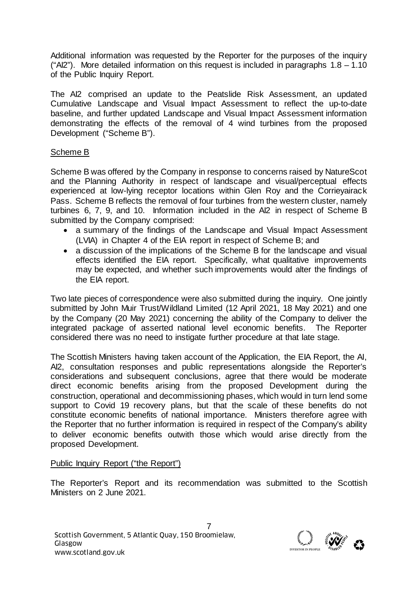Additional information was requested by the Reporter for the purposes of the inquiry ("Al2"). More detailed information on this request is included in paragraphs  $1.8 - 1.10$ of the Public Inquiry Report.

The AI2 comprised an update to the Peatslide Risk Assessment, an updated Cumulative Landscape and Visual Impact Assessment to reflect the up-to-date baseline, and further updated Landscape and Visual Impact Assessment information demonstrating the effects of the removal of 4 wind turbines from the proposed Development ("Scheme B").

# Scheme B

Scheme B was offered by the Company in response to concerns raised by NatureScot and the Planning Authority in respect of landscape and visual/perceptual effects experienced at low-lying receptor locations within Glen Roy and the Corrieyairack Pass. Scheme B reflects the removal of four turbines from the western cluster, namely turbines 6, 7, 9, and 10. Information included in the AI2 in respect of Scheme B submitted by the Company comprised:

- a summary of the findings of the Landscape and Visual Impact Assessment (LVIA) in Chapter 4 of the EIA report in respect of Scheme B; and
- a discussion of the implications of the Scheme B for the landscape and visual effects identified the EIA report. Specifically, what qualitative improvements may be expected, and whether such improvements would alter the findings of the EIA report.

Two late pieces of correspondence were also submitted during the inquiry. One jointly submitted by John Muir Trust/Wildland Limited (12 April 2021, 18 May 2021) and one by the Company (20 May 2021) concerning the ability of the Company to deliver the integrated package of asserted national level economic benefits. The Reporter considered there was no need to instigate further procedure at that late stage.

The Scottish Ministers having taken account of the Application, the EIA Report, the AI, AI2, consultation responses and public representations alongside the Reporter's considerations and subsequent conclusions, agree that there would be moderate direct economic benefits arising from the proposed Development during the construction, operational and decommissioning phases, which would in turn lend some support to Covid 19 recovery plans, but that the scale of these benefits do not constitute economic benefits of national importance. Ministers therefore agree with the Reporter that no further information is required in respect of the Company's ability to deliver economic benefits outwith those which would arise directly from the proposed Development.

# Public Inquiry Report ("the Report")

The Reporter's Report and its recommendation was submitted to the Scottish Ministers on 2 June 2021.

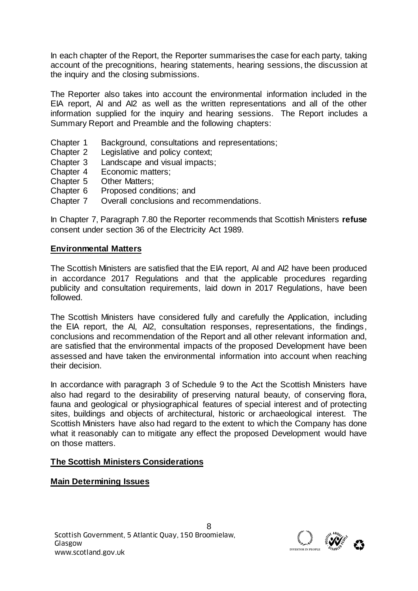In each chapter of the Report, the Reporter summarises the case for each party, taking account of the precognitions, hearing statements, hearing sessions, the discussion at the inquiry and the closing submissions.

The Reporter also takes into account the environmental information included in the EIA report, AI and AI2 as well as the written representations and all of the other information supplied for the inquiry and hearing sessions. The Report includes a Summary Report and Preamble and the following chapters:

- Chapter 1 Background, consultations and representations;
- Chapter 2 Legislative and policy context;
- Chapter 3 Landscape and visual impacts;
- Chapter 4 Economic matters;<br>Chapter 5 Other Matters:
- Other Matters:
- Chapter 6 Proposed conditions; and
- Chapter 7 Overall conclusions and recommendations.

In Chapter 7, Paragraph 7.80 the Reporter recommends that Scottish Ministers **refuse**  consent under section 36 of the Electricity Act 1989.

### **Environmental Matters**

The Scottish Ministers are satisfied that the EIA report, AI and AI2 have been produced in accordance 2017 Regulations and that the applicable procedures regarding publicity and consultation requirements, laid down in 2017 Regulations, have been followed.

The Scottish Ministers have considered fully and carefully the Application, including the EIA report, the AI, AI2, consultation responses, representations, the findings, conclusions and recommendation of the Report and all other relevant information and, are satisfied that the environmental impacts of the proposed Development have been assessed and have taken the environmental information into account when reaching their decision.

In accordance with paragraph 3 of Schedule 9 to the Act the Scottish Ministers have also had regard to the desirability of preserving natural beauty, of conserving flora, fauna and geological or physiographical features of special interest and of protecting sites, buildings and objects of architectural, historic or archaeological interest. The Scottish Ministers have also had regard to the extent to which the Company has done what it reasonably can to mitigate any effect the proposed Development would have on those matters.

### **The Scottish Ministers Considerations**

### **Main Determining Issues**

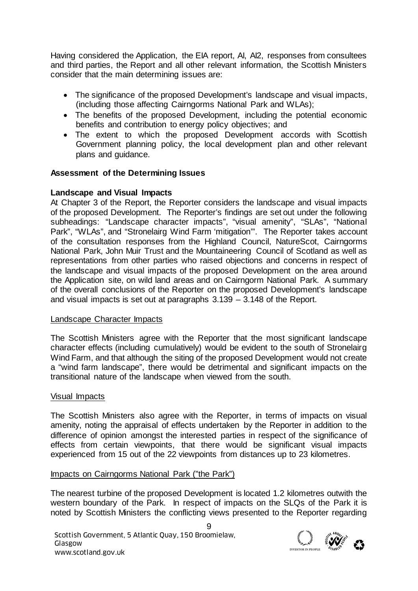Having considered the Application, the EIA report, AI, AI2, responses from consultees and third parties, the Report and all other relevant information, the Scottish Ministers consider that the main determining issues are:

- The significance of the proposed Development's landscape and visual impacts, (including those affecting Cairngorms National Park and WLAs);
- The benefits of the proposed Development, including the potential economic benefits and contribution to energy policy objectives; and
- The extent to which the proposed Development accords with Scottish Government planning policy, the local development plan and other relevant plans and guidance.

## **Assessment of the Determining Issues**

### **Landscape and Visual Impacts**

At Chapter 3 of the Report, the Reporter considers the landscape and visual impacts of the proposed Development. The Reporter's findings are set out under the following subheadings: "Landscape character impacts", "visual amenity", "SLAs", "National Park", "WLAs", and "Stronelairg Wind Farm 'mitigation'". The Reporter takes account of the consultation responses from the Highland Council, NatureScot, Cairngorms National Park, John Muir Trust and the Mountaineering Council of Scotland as well as representations from other parties who raised objections and concerns in respect of the landscape and visual impacts of the proposed Development on the area around the Application site, on wild land areas and on Cairngorm National Park. A summary of the overall conclusions of the Reporter on the proposed Development's landscape and visual impacts is set out at paragraphs 3.139 – 3.148 of the Report.

### Landscape Character Impacts

The Scottish Ministers agree with the Reporter that the most significant landscape character effects (including cumulatively) would be evident to the south of Stronelairg Wind Farm, and that although the siting of the proposed Development would not create a "wind farm landscape", there would be detrimental and significant impacts on the transitional nature of the landscape when viewed from the south.

### Visual Impacts

The Scottish Ministers also agree with the Reporter, in terms of impacts on visual amenity, noting the appraisal of effects undertaken by the Reporter in addition to the difference of opinion amongst the interested parties in respect of the significance of effects from certain viewpoints, that there would be significant visual impacts experienced from 15 out of the 22 viewpoints from distances up to 23 kilometres.

### Impacts on Cairngorms National Park ("the Park")

The nearest turbine of the proposed Development is located 1.2 kilometres outwith the western boundary of the Park. In respect of impacts on the SLQs of the Park it is noted by Scottish Ministers the conflicting views presented to the Reporter regarding

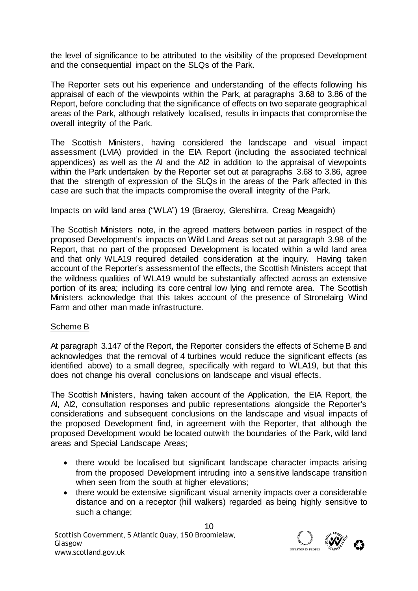the level of significance to be attributed to the visibility of the proposed Development and the consequential impact on the SLQs of the Park.

The Reporter sets out his experience and understanding of the effects following his appraisal of each of the viewpoints within the Park, at paragraphs 3.68 to 3.86 of the Report, before concluding that the significance of effects on two separate geographical areas of the Park, although relatively localised, results in impacts that compromise the overall integrity of the Park.

The Scottish Ministers, having considered the landscape and visual impact assessment (LVIA) provided in the EIA Report (including the associated technical appendices) as well as the AI and the AI2 in addition to the appraisal of viewpoints within the Park undertaken by the Reporter set out at paragraphs 3.68 to 3.86, agree that the strength of expression of the SLQs in the areas of the Park affected in this case are such that the impacts compromise the overall integrity of the Park.

### Impacts on wild land area ("WLA") 19 (Braeroy, Glenshirra, Creag Meagaidh)

The Scottish Ministers note, in the agreed matters between parties in respect of the proposed Development's impacts on Wild Land Areas set out at paragraph 3.98 of the Report, that no part of the proposed Development is located within a wild land area and that only WLA19 required detailed consideration at the inquiry. Having taken account of the Reporter's assessment of the effects, the Scottish Ministers accept that the wildness qualities of WLA19 would be substantially affected across an extensive portion of its area; including its core central low lying and remote area. The Scottish Ministers acknowledge that this takes account of the presence of Stronelairg Wind Farm and other man made infrastructure.

# Scheme B

At paragraph 3.147 of the Report, the Reporter considers the effects of Scheme B and acknowledges that the removal of 4 turbines would reduce the significant effects (as identified above) to a small degree, specifically with regard to WLA19, but that this does not change his overall conclusions on landscape and visual effects.

The Scottish Ministers, having taken account of the Application, the EIA Report, the AI, AI2, consultation responses and public representations alongside the Reporter's considerations and subsequent conclusions on the landscape and visual impacts of the proposed Development find, in agreement with the Reporter, that although the proposed Development would be located outwith the boundaries of the Park, wild land areas and Special Landscape Areas;

- there would be localised but significant landscape character impacts arising from the proposed Development intruding into a sensitive landscape transition when seen from the south at higher elevations;
- there would be extensive significant visual amenity impacts over a considerable distance and on a receptor (hill walkers) regarded as being highly sensitive to such a change;

10 Scottish Government, 5 Atlantic Quay, 150 Broomielaw,<br>
Www.scotland.gov.uk<br>
WWW.scotland.gov.uk Glasgow

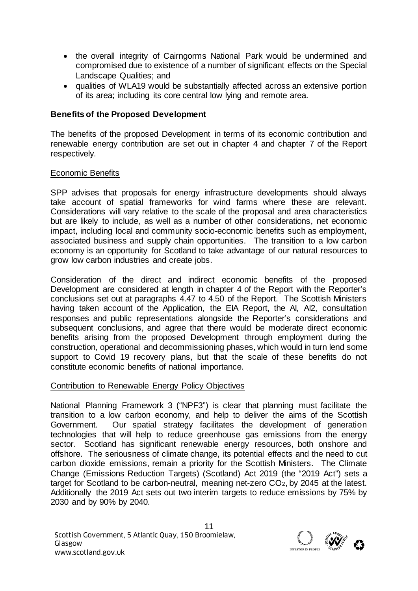- the overall integrity of Cairngorms National Park would be undermined and compromised due to existence of a number of significant effects on the Special Landscape Qualities; and
- qualities of WLA19 would be substantially affected across an extensive portion of its area; including its core central low lying and remote area.

## **Benefits of the Proposed Development**

The benefits of the proposed Development in terms of its economic contribution and renewable energy contribution are set out in chapter 4 and chapter 7 of the Report respectively.

### Economic Benefits

SPP advises that proposals for energy infrastructure developments should always take account of spatial frameworks for wind farms where these are relevant. Considerations will vary relative to the scale of the proposal and area characteristics but are likely to include, as well as a number of other considerations, net economic impact, including local and community socio-economic benefits such as employment, associated business and supply chain opportunities. The transition to a low carbon economy is an opportunity for Scotland to take advantage of our natural resources to grow low carbon industries and create jobs.

Consideration of the direct and indirect economic benefits of the proposed Development are considered at length in chapter 4 of the Report with the Reporter's conclusions set out at paragraphs 4.47 to 4.50 of the Report. The Scottish Ministers having taken account of the Application, the EIA Report, the AI, AI2, consultation responses and public representations alongside the Reporter's considerations and subsequent conclusions, and agree that there would be moderate direct economic benefits arising from the proposed Development through employment during the construction, operational and decommissioning phases, which would in turn lend some support to Covid 19 recovery plans, but that the scale of these benefits do not constitute economic benefits of national importance.

### Contribution to Renewable Energy Policy Objectives

National Planning Framework 3 ("NPF3") is clear that planning must facilitate the transition to a low carbon economy, and help to deliver the aims of the Scottish Government. Our spatial strategy facilitates the development of generation technologies that will help to reduce greenhouse gas emissions from the energy sector. Scotland has significant renewable energy resources, both onshore and offshore. The seriousness of climate change, its potential effects and the need to cut carbon dioxide emissions, remain a priority for the Scottish Ministers. The Climate Change (Emissions Reduction Targets) (Scotland) Act 2019 (the "2019 Act") sets a target for Scotland to be carbon-neutral, meaning net-zero CO2, by 2045 at the latest. Additionally the 2019 Act sets out two interim targets to reduce emissions by 75% by 2030 and by 90% by 2040.

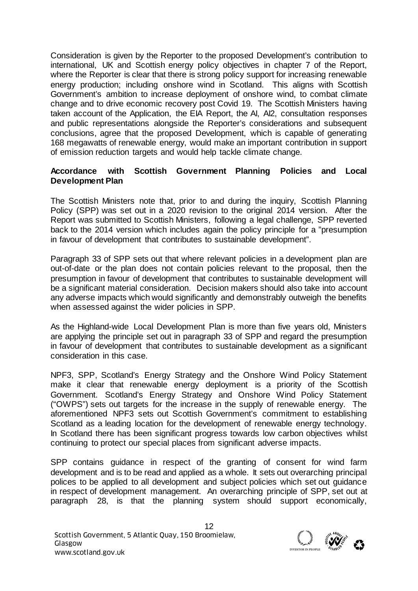Consideration is given by the Reporter to the proposed Development's contribution to international, UK and Scottish energy policy objectives in chapter 7 of the Report, where the Reporter is clear that there is strong policy support for increasing renewable energy production; including onshore wind in Scotland. This aligns with Scottish Government's ambition to increase deployment of onshore wind, to combat climate change and to drive economic recovery post Covid 19. The Scottish Ministers having taken account of the Application, the EIA Report, the AI, AI2, consultation responses and public representations alongside the Reporter's considerations and subsequent conclusions, agree that the proposed Development, which is capable of generating 168 megawatts of renewable energy, would make an important contribution in support of emission reduction targets and would help tackle climate change.

## **Accordance with Scottish Government Planning Policies and Local Development Plan**

The Scottish Ministers note that, prior to and during the inquiry, Scottish Planning Policy (SPP) was set out in a 2020 revision to the original 2014 version. After the Report was submitted to Scottish Ministers, following a legal challenge, SPP reverted back to the 2014 version which includes again the policy principle for a "presumption in favour of development that contributes to sustainable development".

Paragraph 33 of SPP sets out that where relevant policies in a development plan are out-of-date or the plan does not contain policies relevant to the proposal, then the presumption in favour of development that contributes to sustainable development will be a significant material consideration. Decision makers should also take into account any adverse impacts which would significantly and demonstrably outweigh the benefits when assessed against the wider policies in SPP.

As the Highland-wide Local Development Plan is more than five years old, Ministers are applying the principle set out in paragraph 33 of SPP and regard the presumption in favour of development that contributes to sustainable development as a significant consideration in this case.

NPF3, SPP, Scotland's Energy Strategy and the Onshore Wind Policy Statement make it clear that renewable energy deployment is a priority of the Scottish Government. Scotland's Energy Strategy and Onshore Wind Policy Statement ("OWPS") sets out targets for the increase in the supply of renewable energy. The aforementioned NPF3 sets out Scottish Government's commitment to establishing Scotland as a leading location for the development of renewable energy technology. In Scotland there has been significant progress towards low carbon objectives whilst continuing to protect our special places from significant adverse impacts.

SPP contains guidance in respect of the granting of consent for wind farm development and is to be read and applied as a whole. It sets out overarching principal polices to be applied to all development and subject policies which set out guidance in respect of development management. An overarching principle of SPP, set out at paragraph 28, is that the planning system should support economically,

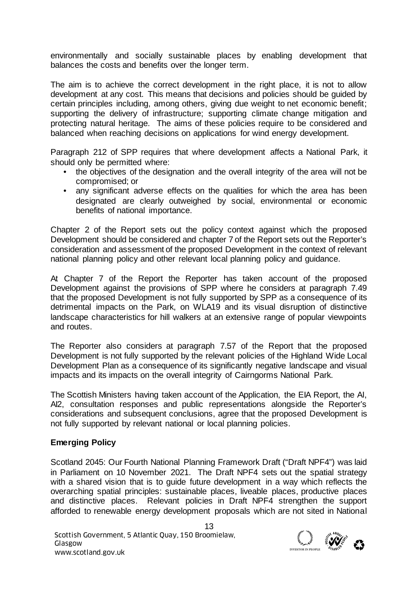environmentally and socially sustainable places by enabling development that balances the costs and benefits over the longer term.

The aim is to achieve the correct development in the right place, it is not to allow development at any cost. This means that decisions and policies should be guided by certain principles including, among others, giving due weight to net economic benefit; supporting the delivery of infrastructure; supporting climate change mitigation and protecting natural heritage. The aims of these policies require to be considered and balanced when reaching decisions on applications for wind energy development.

Paragraph 212 of SPP requires that where development affects a National Park, it should only be permitted where:

- the objectives of the designation and the overall integrity of the area will not be compromised; or
- any significant adverse effects on the qualities for which the area has been designated are clearly outweighed by social, environmental or economic benefits of national importance.

Chapter 2 of the Report sets out the policy context against which the proposed Development should be considered and chapter 7 of the Report sets out the Reporter's consideration and assessment of the proposed Development in the context of relevant national planning policy and other relevant local planning policy and guidance.

At Chapter 7 of the Report the Reporter has taken account of the proposed Development against the provisions of SPP where he considers at paragraph 7.49 that the proposed Development is not fully supported by SPP as a consequence of its detrimental impacts on the Park, on WLA19 and its visual disruption of distinctive landscape characteristics for hill walkers at an extensive range of popular viewpoints and routes.

The Reporter also considers at paragraph 7.57 of the Report that the proposed Development is not fully supported by the relevant policies of the Highland Wide Local Development Plan as a consequence of its significantly negative landscape and visual impacts and its impacts on the overall integrity of Cairngorms National Park.

The Scottish Ministers having taken account of the Application, the EIA Report, the AI, AI2, consultation responses and public representations alongside the Reporter's considerations and subsequent conclusions, agree that the proposed Development is not fully supported by relevant national or local planning policies.

# **Emerging Policy**

Scotland 2045: Our Fourth National Planning Framework Draft ("Draft NPF4") was laid in Parliament on 10 November 2021. The Draft NPF4 sets out the spatial strategy with a shared vision that is to guide future development in a way which reflects the overarching spatial principles: sustainable places, liveable places, productive places and distinctive places. Relevant policies in Draft NPF4 strengthen the support afforded to renewable energy development proposals which are not sited in National

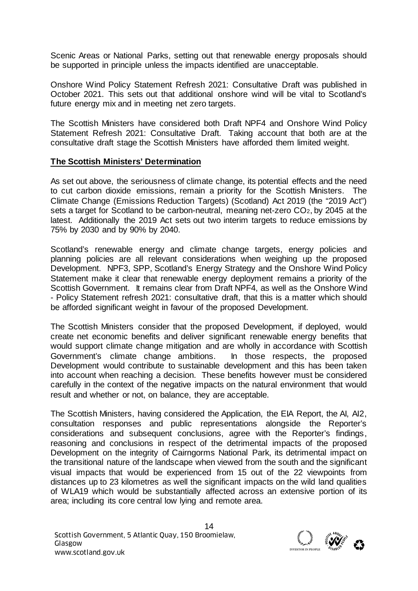Scenic Areas or National Parks, setting out that renewable energy proposals should be supported in principle unless the impacts identified are unacceptable.

Onshore Wind Policy Statement Refresh 2021: Consultative Draft was published in October 2021. This sets out that additional onshore wind will be vital to Scotland's future energy mix and in meeting net zero targets.

The Scottish Ministers have considered both Draft NPF4 and Onshore Wind Policy Statement Refresh 2021: Consultative Draft. Taking account that both are at the consultative draft stage the Scottish Ministers have afforded them limited weight.

### **The Scottish Ministers' Determination**

As set out above, the seriousness of climate change, its potential effects and the need to cut carbon dioxide emissions, remain a priority for the Scottish Ministers. The Climate Change (Emissions Reduction Targets) (Scotland) Act 2019 (the "2019 Act") sets a target for Scotland to be carbon-neutral, meaning net-zero CO2, by 2045 at the latest. Additionally the 2019 Act sets out two interim targets to reduce emissions by 75% by 2030 and by 90% by 2040.

Scotland's renewable energy and climate change targets, energy policies and planning policies are all relevant considerations when weighing up the proposed Development. NPF3, SPP, Scotland's Energy Strategy and the Onshore Wind Policy Statement make it clear that renewable energy deployment remains a priority of the Scottish Government. It remains clear from Draft NPF4, as well as the Onshore Wind - Policy Statement refresh 2021: consultative draft, that this is a matter which should be afforded significant weight in favour of the proposed Development.

The Scottish Ministers consider that the proposed Development, if deployed, would create net economic benefits and deliver significant renewable energy benefits that would support climate change mitigation and are wholly in accordance with Scottish Government's climate change ambitions. In those respects, the proposed Development would contribute to sustainable development and this has been taken into account when reaching a decision. These benefits however must be considered carefully in the context of the negative impacts on the natural environment that would result and whether or not, on balance, they are acceptable.

The Scottish Ministers, having considered the Application, the EIA Report, the AI, AI2, consultation responses and public representations alongside the Reporter's considerations and subsequent conclusions, agree with the Reporter's findings, reasoning and conclusions in respect of the detrimental impacts of the proposed Development on the integrity of Cairngorms National Park, its detrimental impact on the transitional nature of the landscape when viewed from the south and the significant visual impacts that would be experienced from 15 out of the 22 viewpoints from distances up to 23 kilometres as well the significant impacts on the wild land qualities of WLA19 which would be substantially affected across an extensive portion of its area; including its core central low lying and remote area.